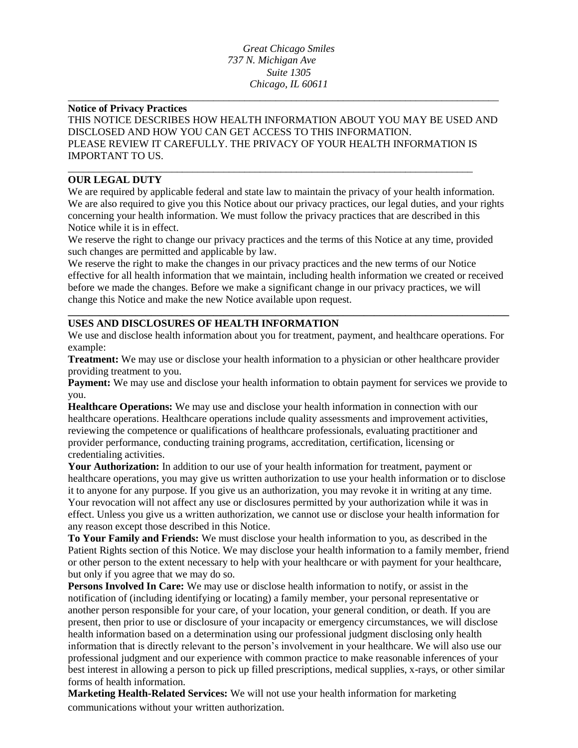# *Great Chicago Smiles 737 N. Michigan Ave Suite 1305 Chicago, IL 60611*

\_\_\_\_\_\_\_\_\_\_\_\_\_\_\_\_\_\_\_\_\_\_\_\_\_\_\_\_\_\_\_\_\_\_\_\_\_\_\_\_\_\_\_\_\_\_\_\_\_\_\_\_\_\_\_\_\_\_\_\_\_\_\_\_\_\_\_\_\_\_\_\_\_\_\_\_\_\_\_\_\_\_\_

## **Notice of Privacy Practices**

THIS NOTICE DESCRIBES HOW HEALTH INFORMATION ABOUT YOU MAY BE USED AND DISCLOSED AND HOW YOU CAN GET ACCESS TO THIS INFORMATION. PLEASE REVIEW IT CAREFULLY. THE PRIVACY OF YOUR HEALTH INFORMATION IS IMPORTANT TO US. \_\_\_\_\_\_\_\_\_\_\_\_\_\_\_\_\_\_\_\_\_\_\_\_\_\_\_\_\_\_\_\_\_\_\_\_\_\_\_\_\_\_\_\_\_\_\_\_\_\_\_\_\_\_\_\_\_\_\_\_\_\_\_\_\_\_\_\_\_\_\_\_\_\_\_\_\_\_

## **OUR LEGAL DUTY**

We are required by applicable federal and state law to maintain the privacy of your health information. We are also required to give you this Notice about our privacy practices, our legal duties, and your rights concerning your health information. We must follow the privacy practices that are described in this Notice while it is in effect.

We reserve the right to change our privacy practices and the terms of this Notice at any time, provided such changes are permitted and applicable by law.

We reserve the right to make the changes in our privacy practices and the new terms of our Notice effective for all health information that we maintain, including health information we created or received before we made the changes. Before we make a significant change in our privacy practices, we will change this Notice and make the new Notice available upon request.

# **USES AND DISCLOSURES OF HEALTH INFORMATION**

We use and disclose health information about you for treatment, payment, and healthcare operations. For example:

**\_\_\_\_\_\_\_\_\_\_\_\_\_\_\_\_\_\_\_\_\_\_\_\_\_\_\_\_\_\_\_\_\_\_\_\_\_\_\_\_\_\_\_\_\_\_\_\_\_\_\_\_\_\_\_\_\_\_\_\_\_\_\_\_\_\_\_\_\_\_\_\_\_\_\_\_\_\_\_\_\_\_\_\_\_** 

**Treatment:** We may use or disclose your health information to a physician or other healthcare provider providing treatment to you.

**Payment:** We may use and disclose your health information to obtain payment for services we provide to you.

**Healthcare Operations:** We may use and disclose your health information in connection with our healthcare operations. Healthcare operations include quality assessments and improvement activities, reviewing the competence or qualifications of healthcare professionals, evaluating practitioner and provider performance, conducting training programs, accreditation, certification, licensing or credentialing activities.

**Your Authorization:** In addition to our use of your health information for treatment, payment or healthcare operations, you may give us written authorization to use your health information or to disclose it to anyone for any purpose. If you give us an authorization, you may revoke it in writing at any time. Your revocation will not affect any use or disclosures permitted by your authorization while it was in effect. Unless you give us a written authorization, we cannot use or disclose your health information for any reason except those described in this Notice.

**To Your Family and Friends:** We must disclose your health information to you, as described in the Patient Rights section of this Notice. We may disclose your health information to a family member, friend or other person to the extent necessary to help with your healthcare or with payment for your healthcare, but only if you agree that we may do so.

**Persons Involved In Care:** We may use or disclose health information to notify, or assist in the notification of (including identifying or locating) a family member, your personal representative or another person responsible for your care, of your location, your general condition, or death. If you are present, then prior to use or disclosure of your incapacity or emergency circumstances, we will disclose health information based on a determination using our professional judgment disclosing only health information that is directly relevant to the person's involvement in your healthcare. We will also use our professional judgment and our experience with common practice to make reasonable inferences of your best interest in allowing a person to pick up filled prescriptions, medical supplies, x-rays, or other similar forms of health information.

**Marketing Health-Related Services:** We will not use your health information for marketing communications without your written authorization.